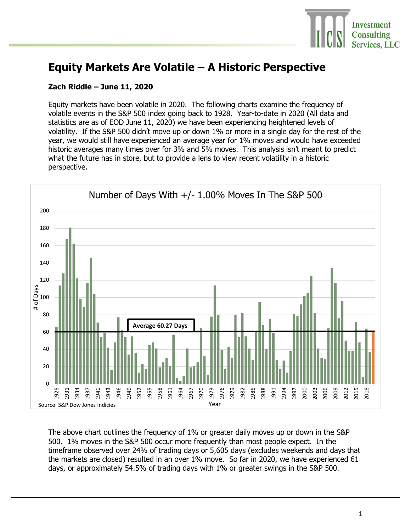

## **Equity Markets Are Volatile – A Historic Perspective**

## **Zach Riddle – June 11, 2020**

Equity markets have been volatile in 2020. The following charts examine the frequency of volatile events in the S&P 500 index going back to 1928. Year-to-date in 2020 (All data and statistics are as of EOD June 11, 2020) we have been experiencing heightened levels of volatility. If the S&P 500 didn't move up or down 1% or more in a single day for the rest of the year, we would still have experienced an average year for 1% moves and would have exceeded historic averages many times over for 3% and 5% moves. This analysis isn't meant to predict what the future has in store, but to provide a lens to view recent volatility in a historic perspective.



The above chart outlines the frequency of 1% or greater daily moves up or down in the S&P 500. 1% moves in the S&P 500 occur more frequently than most people expect. In the timeframe observed over 24% of trading days or 5,605 days (excludes weekends and days that the markets are closed) resulted in an over 1% move. So far in 2020, we have experienced 61 days, or approximately 54.5% of trading days with 1% or greater swings in the S&P 500.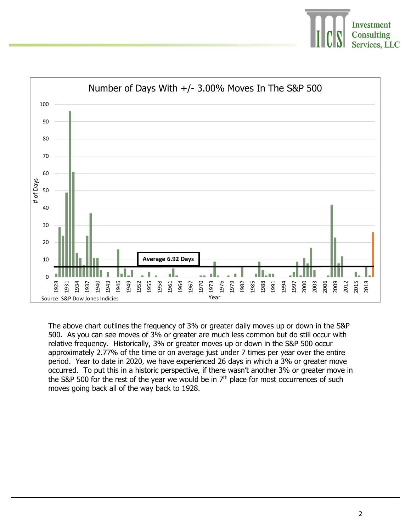



The above chart outlines the frequency of 3% or greater daily moves up or down in the S&P 500. As you can see moves of 3% or greater are much less common but do still occur with relative frequency. Historically, 3% or greater moves up or down in the S&P 500 occur approximately 2.77% of the time or on average just under 7 times per year over the entire period. Year to date in 2020, we have experienced 26 days in which a 3% or greater move occurred. To put this in a historic perspective, if there wasn't another 3% or greater move in the S&P 500 for the rest of the year we would be in  $7<sup>th</sup>$  place for most occurrences of such moves going back all of the way back to 1928.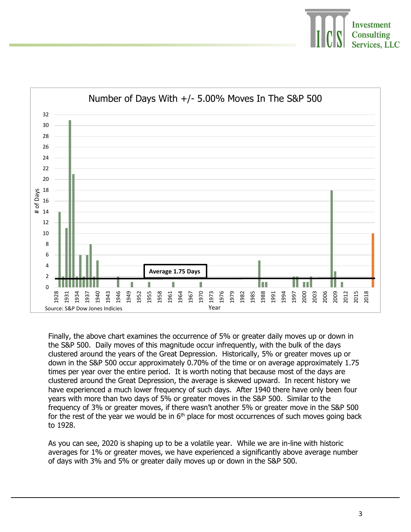



Finally, the above chart examines the occurrence of 5% or greater daily moves up or down in the S&P 500. Daily moves of this magnitude occur infrequently, with the bulk of the days clustered around the years of the Great Depression. Historically, 5% or greater moves up or down in the S&P 500 occur approximately 0.70% of the time or on average approximately 1.75 times per year over the entire period. It is worth noting that because most of the days are clustered around the Great Depression, the average is skewed upward. In recent history we have experienced a much lower frequency of such days. After 1940 there have only been four years with more than two days of 5% or greater moves in the S&P 500. Similar to the frequency of 3% or greater moves, if there wasn't another 5% or greater move in the S&P 500 for the rest of the year we would be in  $6<sup>th</sup>$  place for most occurrences of such moves going back to 1928.

As you can see, 2020 is shaping up to be a volatile year. While we are in-line with historic averages for 1% or greater moves, we have experienced a significantly above average number of days with 3% and 5% or greater daily moves up or down in the S&P 500.